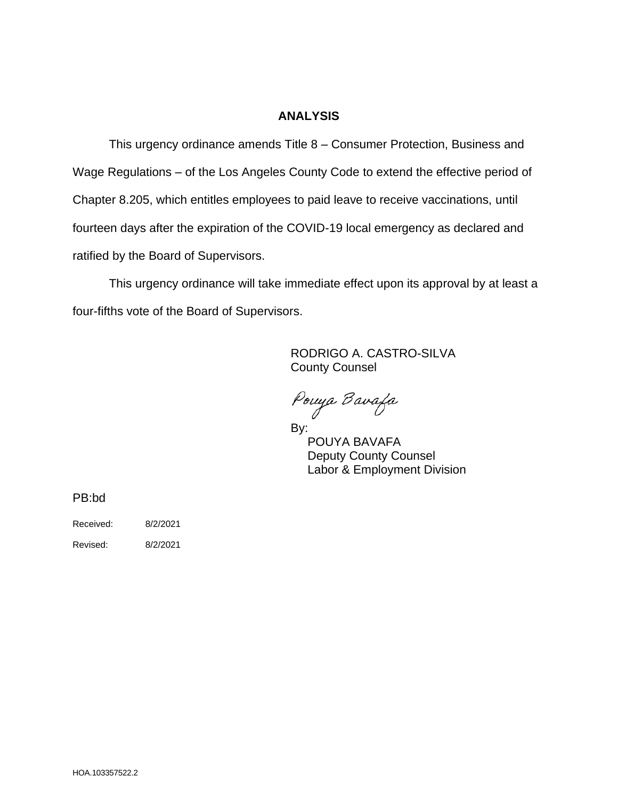## **ANALYSIS**

This urgency ordinance amends Title 8 – Consumer Protection, Business and Wage Regulations – of the Los Angeles County Code to extend the effective period of Chapter 8.205, which entitles employees to paid leave to receive vaccinations, until fourteen days after the expiration of the COVID-19 local emergency as declared and ratified by the Board of Supervisors.

This urgency ordinance will take immediate effect upon its approval by at least a four-fifths vote of the Board of Supervisors.

> RODRIGO A. CASTRO-SILVA County Counsel

Pouya Bavafa

By: POUYA BAVAFA Deputy County Counsel Labor & Employment Division

PB:bd

Received: 8/2/2021

Revised: 8/2/2021